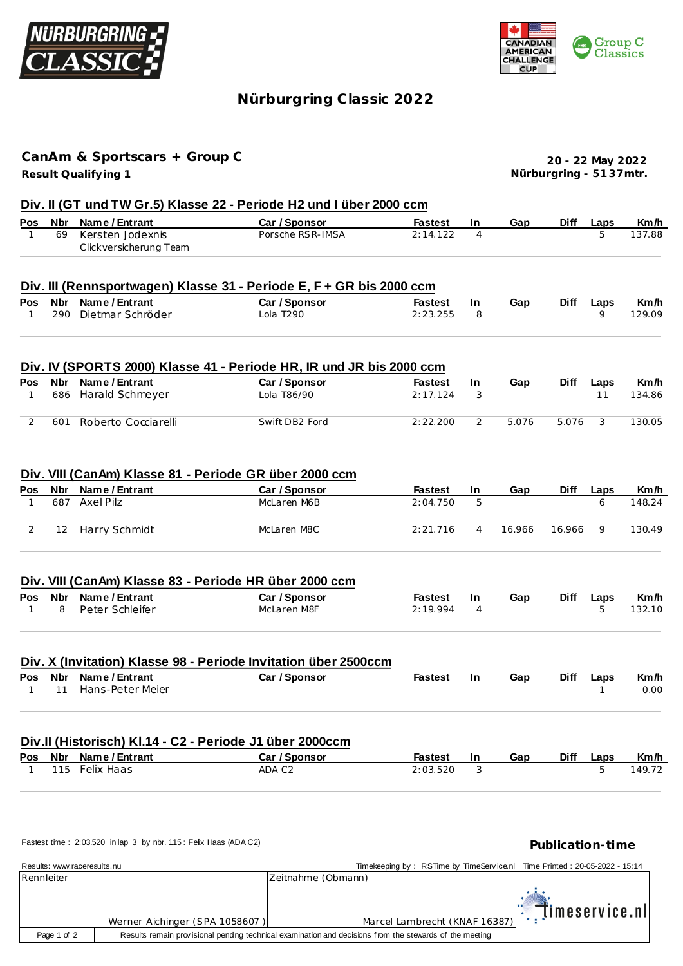



# **Nürburgring C lassic 2022**

## **Result Qualify ing 1 CanAm & Sportscars + Group C**

**20 - 22 May 2022 Nürburgring - 51 37mtr.**

## **Div. II (GT und TW Gr.5) Klasse 22 - Periode H2 und I über 2000 ccm**

|  | Pos Nbr Name/Entrant   | Car / Sponsor    | Fastest  | Gap | <b>Diff</b> | Laps | Km/h   |
|--|------------------------|------------------|----------|-----|-------------|------|--------|
|  | 69 Kersten Jodexnis    | Porsche RSR-IMSA | 2:14.122 |     |             |      | 137.88 |
|  | Clickversicherung Team |                  |          |     |             |      |        |

## **Div. III (Rennsportwagen) Klasse 31 - Periode E, F + GR bis 2000 ccm**

|  | Pos Nbr Name / Entrant | Car / Sponsor | Fastest  | In | Gap | Diff | Laps | Km/h   |
|--|------------------------|---------------|----------|----|-----|------|------|--------|
|  | 290 Dietmar Schröder   | Lola T290     | 2:23.255 |    |     |      |      | 129.09 |

#### **Div. IV (SPORTS 2000) Klasse 41 - Periode HR, IR und JR bis 2000 ccm**

| <b>Pos</b> | Nbr | Name / Entrant      | Car / Sponsor  | <b>Fastest</b> | <b>In</b> | Gap   | Diff  | Laps | Km/h   |
|------------|-----|---------------------|----------------|----------------|-----------|-------|-------|------|--------|
|            | 686 | Harald Schmeyer     | Lola T86/90    | 2:17.124       |           |       |       |      | 134.86 |
|            | 601 | Roberto Cocciarelli | Swift DB2 Ford | 2:22.200       |           | 5.076 | 5.076 |      | 130.05 |

#### **Div. VIII (CanAm) Klasse 81 - Periode GR über 2000 ccm**

| Pos | Nbr              | Name / Entrant | Car / Sponsor | <b>Fastest</b> | In | Gap    | Diff   | Laps         | Km/h   |
|-----|------------------|----------------|---------------|----------------|----|--------|--------|--------------|--------|
|     | 687              | Axel Pilz      | McLaren M6B   | 2:04.750       | b  |        |        | <sub>6</sub> | 148.24 |
|     | 12 <sup>12</sup> | Harry Schmidt  | McLaren M8C   | 2:21.716       |    | 16.966 | 16.966 | Q            | 130.49 |

#### **Div. VIII (CanAm) Klasse 83 - Periode HR über 2000 ccm**

|          | Pos Nbr Name/Entrant | Car / Sponsor | Fastest | -In | Gap | <b>Diff</b> | Laps | Km/h   |
|----------|----------------------|---------------|---------|-----|-----|-------------|------|--------|
| <b>R</b> | Peter Schleifer      | McLaren M8F   | 2.19994 |     |     |             |      | 132.10 |

#### **Div. X (Invitation) Klasse 98 - Periode Invitation über 2500ccm**

|  | Pos Nbr Name/Entrant  | Car / Sponsor | <b>Fastest</b> | -In | Gap | Diff | Laps | Km/h |
|--|-----------------------|---------------|----------------|-----|-----|------|------|------|
|  | 1 11 Hans-Peter Meier |               |                |     |     |      |      | 0.00 |
|  |                       |               |                |     |     |      |      |      |

#### **Div.II (Historisch) Kl.14 - C2 - Periode J1 über 2000ccm**

|     | Pos Nbr Name / Entrant | Car / Sponsor | Fastest  | -In | Gap | <b>Diff</b> | Laps | Km/h   |
|-----|------------------------|---------------|----------|-----|-----|-------------|------|--------|
| 115 | Felix Haas             | ADA C2        | 2:03.520 |     |     |             |      | 149.72 |

|                             | Fastest time: 2:03.520 in lap 3 by nbr. 115: Felix Haas (ADAC2) |                                                                                                         | Publication-time           |
|-----------------------------|-----------------------------------------------------------------|---------------------------------------------------------------------------------------------------------|----------------------------|
| Results: www.raceresults.nu |                                                                 | Timekeeping by: RSTime by TimeService.nl Time Printed: 20-05-2022 - 15:14                               |                            |
| Rennleiter                  |                                                                 | Zeitnahme (Obmann)                                                                                      |                            |
|                             |                                                                 |                                                                                                         | $\mathbb{T}$ imeservice.nl |
|                             | Werner Aichinger (SPA 1058607)                                  | Marcel Lambrecht (KNAF 16387)                                                                           |                            |
| Page 1 of 2                 |                                                                 | Results remain provisional pending technical examination and decisions from the stewards of the meeting |                            |